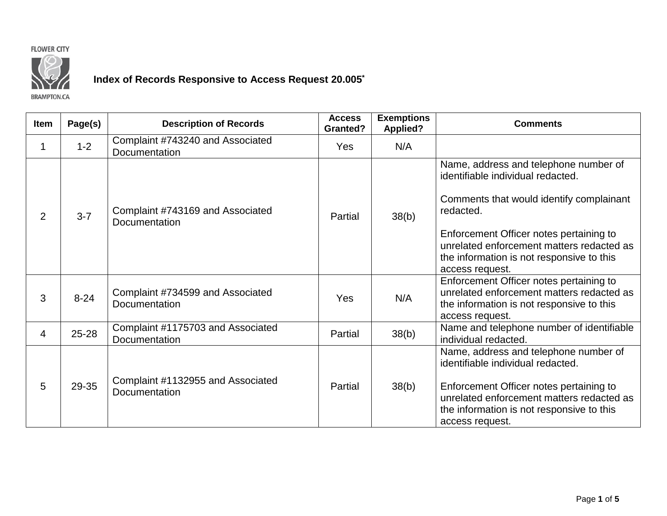



# **Index of Records Responsive to Access Request 20.005\***

| <b>Item</b> | Page(s)   | <b>Description of Records</b>                      | <b>Access</b><br><b>Granted?</b> | <b>Exemptions</b><br><b>Applied?</b> | <b>Comments</b>                                                                                                                                                                                                                                                                             |
|-------------|-----------|----------------------------------------------------|----------------------------------|--------------------------------------|---------------------------------------------------------------------------------------------------------------------------------------------------------------------------------------------------------------------------------------------------------------------------------------------|
| 1           | $1 - 2$   | Complaint #743240 and Associated<br>Documentation  | Yes                              | N/A                                  |                                                                                                                                                                                                                                                                                             |
| 2           | $3 - 7$   | Complaint #743169 and Associated<br>Documentation  | Partial                          | 38(b)                                | Name, address and telephone number of<br>identifiable individual redacted.<br>Comments that would identify complainant<br>redacted.<br>Enforcement Officer notes pertaining to<br>unrelated enforcement matters redacted as<br>the information is not responsive to this<br>access request. |
| 3           | $8 - 24$  | Complaint #734599 and Associated<br>Documentation  | Yes                              | N/A                                  | Enforcement Officer notes pertaining to<br>unrelated enforcement matters redacted as<br>the information is not responsive to this<br>access request.                                                                                                                                        |
| 4           | $25 - 28$ | Complaint #1175703 and Associated<br>Documentation | Partial                          | 38(b)                                | Name and telephone number of identifiable<br>individual redacted.                                                                                                                                                                                                                           |
| 5           | 29-35     | Complaint #1132955 and Associated<br>Documentation | Partial                          | 38(b)                                | Name, address and telephone number of<br>identifiable individual redacted.<br>Enforcement Officer notes pertaining to<br>unrelated enforcement matters redacted as<br>the information is not responsive to this<br>access request.                                                          |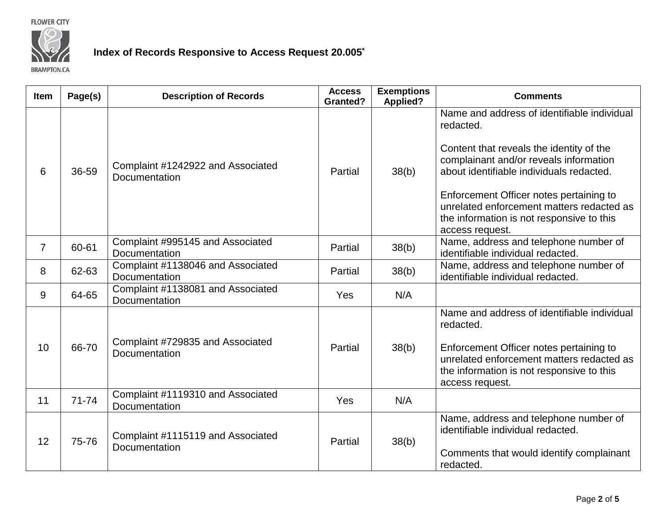

## **Index of Records Responsive to Access Request 20.005\***

| Item           | Page(s)   | <b>Description of Records</b>                      | <b>Access</b><br><b>Granted?</b> | <b>Exemptions</b><br><b>Applied?</b> | <b>Comments</b>                                                                                                                                                                                                  |
|----------------|-----------|----------------------------------------------------|----------------------------------|--------------------------------------|------------------------------------------------------------------------------------------------------------------------------------------------------------------------------------------------------------------|
|                |           |                                                    |                                  |                                      | Name and address of identifiable individual<br>redacted.                                                                                                                                                         |
| 6              | 36-59     | Complaint #1242922 and Associated<br>Documentation | Partial                          | 38(b)                                | Content that reveals the identity of the<br>complainant and/or reveals information<br>about identifiable individuals redacted.                                                                                   |
|                |           |                                                    |                                  |                                      | Enforcement Officer notes pertaining to<br>unrelated enforcement matters redacted as<br>the information is not responsive to this<br>access request.                                                             |
| $\overline{7}$ | 60-61     | Complaint #995145 and Associated<br>Documentation  | Partial                          | 38(b)                                | Name, address and telephone number of<br>identifiable individual redacted.                                                                                                                                       |
| 8              | 62-63     | Complaint #1138046 and Associated<br>Documentation | Partial                          | 38(b)                                | Name, address and telephone number of<br>identifiable individual redacted.                                                                                                                                       |
| 9              | 64-65     | Complaint #1138081 and Associated<br>Documentation | Yes                              | N/A                                  |                                                                                                                                                                                                                  |
| 10             | 66-70     | Complaint #729835 and Associated<br>Documentation  | Partial                          | 38(b)                                | Name and address of identifiable individual<br>redacted.<br>Enforcement Officer notes pertaining to<br>unrelated enforcement matters redacted as<br>the information is not responsive to this<br>access request. |
| 11             | $71 - 74$ | Complaint #1119310 and Associated<br>Documentation | Yes                              | N/A                                  |                                                                                                                                                                                                                  |
| 12             | 75-76     | Complaint #1115119 and Associated<br>Documentation | Partial                          | 38(b)                                | Name, address and telephone number of<br>identifiable individual redacted.<br>Comments that would identify complainant<br>redacted.                                                                              |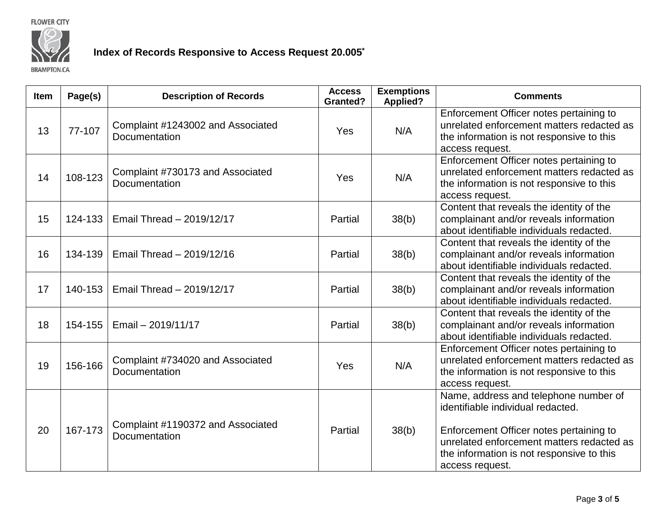

## **Index of Records Responsive to Access Request 20.005\***

| Item | Page(s) | <b>Description of Records</b>                      | <b>Access</b><br><b>Granted?</b> | <b>Exemptions</b><br><b>Applied?</b> | <b>Comments</b>                                                                                                                                                                                                                    |
|------|---------|----------------------------------------------------|----------------------------------|--------------------------------------|------------------------------------------------------------------------------------------------------------------------------------------------------------------------------------------------------------------------------------|
| 13   | 77-107  | Complaint #1243002 and Associated<br>Documentation | Yes                              | N/A                                  | Enforcement Officer notes pertaining to<br>unrelated enforcement matters redacted as<br>the information is not responsive to this<br>access request.                                                                               |
| 14   | 108-123 | Complaint #730173 and Associated<br>Documentation  | Yes                              | N/A                                  | Enforcement Officer notes pertaining to<br>unrelated enforcement matters redacted as<br>the information is not responsive to this<br>access request.                                                                               |
| 15   | 124-133 | Email Thread - 2019/12/17                          | Partial                          | 38(b)                                | Content that reveals the identity of the<br>complainant and/or reveals information<br>about identifiable individuals redacted.                                                                                                     |
| 16   | 134-139 | Email Thread - 2019/12/16                          | Partial                          | 38(b)                                | Content that reveals the identity of the<br>complainant and/or reveals information<br>about identifiable individuals redacted.                                                                                                     |
| 17   | 140-153 | Email Thread - 2019/12/17                          | Partial                          | 38(b)                                | Content that reveals the identity of the<br>complainant and/or reveals information<br>about identifiable individuals redacted.                                                                                                     |
| 18   | 154-155 | Email - 2019/11/17                                 | Partial                          | 38(b)                                | Content that reveals the identity of the<br>complainant and/or reveals information<br>about identifiable individuals redacted.                                                                                                     |
| 19   | 156-166 | Complaint #734020 and Associated<br>Documentation  | Yes                              | N/A                                  | Enforcement Officer notes pertaining to<br>unrelated enforcement matters redacted as<br>the information is not responsive to this<br>access request.                                                                               |
| 20   | 167-173 | Complaint #1190372 and Associated<br>Documentation | Partial                          | 38(b)                                | Name, address and telephone number of<br>identifiable individual redacted.<br>Enforcement Officer notes pertaining to<br>unrelated enforcement matters redacted as<br>the information is not responsive to this<br>access request. |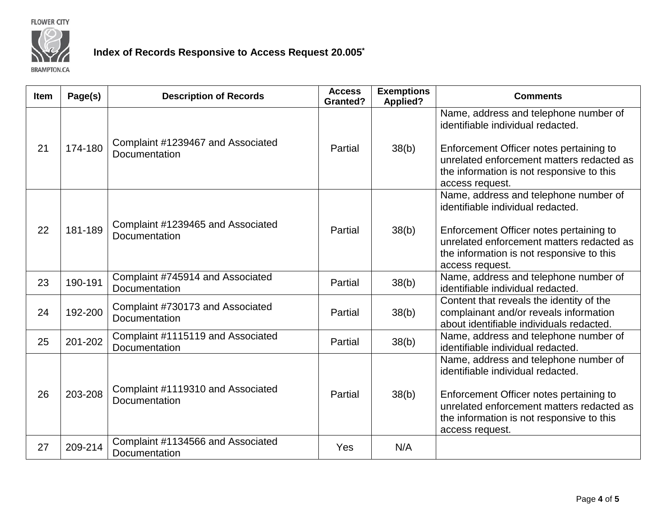

## **Index of Records Responsive to Access Request 20.005\***

| <b>Item</b> | Page(s) | <b>Description of Records</b>                      | <b>Access</b><br><b>Granted?</b> | <b>Exemptions</b><br><b>Applied?</b> | <b>Comments</b>                                                                                                                                                                                                                    |
|-------------|---------|----------------------------------------------------|----------------------------------|--------------------------------------|------------------------------------------------------------------------------------------------------------------------------------------------------------------------------------------------------------------------------------|
| 21          | 174-180 | Complaint #1239467 and Associated<br>Documentation | Partial                          | 38(b)                                | Name, address and telephone number of<br>identifiable individual redacted.<br>Enforcement Officer notes pertaining to<br>unrelated enforcement matters redacted as<br>the information is not responsive to this<br>access request. |
| 22          | 181-189 | Complaint #1239465 and Associated<br>Documentation | Partial                          | 38(b)                                | Name, address and telephone number of<br>identifiable individual redacted.<br>Enforcement Officer notes pertaining to<br>unrelated enforcement matters redacted as<br>the information is not responsive to this<br>access request. |
| 23          | 190-191 | Complaint #745914 and Associated<br>Documentation  | Partial                          | 38(b)                                | Name, address and telephone number of<br>identifiable individual redacted.                                                                                                                                                         |
| 24          | 192-200 | Complaint #730173 and Associated<br>Documentation  | Partial                          | 38(b)                                | Content that reveals the identity of the<br>complainant and/or reveals information<br>about identifiable individuals redacted.                                                                                                     |
| 25          | 201-202 | Complaint #1115119 and Associated<br>Documentation | Partial                          | 38(b)                                | Name, address and telephone number of<br>identifiable individual redacted.                                                                                                                                                         |
| 26          | 203-208 | Complaint #1119310 and Associated<br>Documentation | Partial                          | 38(b)                                | Name, address and telephone number of<br>identifiable individual redacted.<br>Enforcement Officer notes pertaining to<br>unrelated enforcement matters redacted as<br>the information is not responsive to this<br>access request. |
| 27          | 209-214 | Complaint #1134566 and Associated<br>Documentation | Yes                              | N/A                                  |                                                                                                                                                                                                                                    |